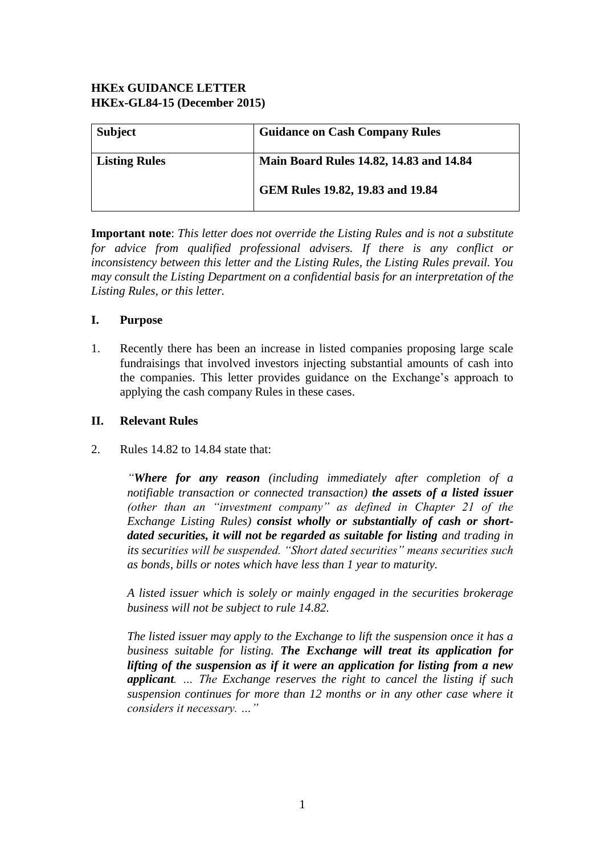# **HKEx GUIDANCE LETTER HKEx-GL84-15 (December 2015)**

| <b>Subject</b>       | <b>Guidance on Cash Company Rules</b>   |
|----------------------|-----------------------------------------|
| <b>Listing Rules</b> | Main Board Rules 14.82, 14.83 and 14.84 |
|                      | GEM Rules 19.82, 19.83 and 19.84        |

**Important note**: *This letter does not override the Listing Rules and is not a substitute for advice from qualified professional advisers. If there is any conflict or inconsistency between this letter and the Listing Rules, the Listing Rules prevail. You may consult the Listing Department on a confidential basis for an interpretation of the Listing Rules, or this letter.*

### **I. Purpose**

1. Recently there has been an increase in listed companies proposing large scale fundraisings that involved investors injecting substantial amounts of cash into the companies. This letter provides guidance on the Exchange's approach to applying the cash company Rules in these cases.

### **II. Relevant Rules**

2. Rules 14.82 to 14.84 state that:

*"Where for any reason (including immediately after completion of a notifiable transaction or connected transaction) the assets of a listed issuer (other than an "investment company" as defined in Chapter 21 of the Exchange Listing Rules) consist wholly or substantially of cash or shortdated securities, it will not be regarded as suitable for listing and trading in its securities will be suspended. "Short dated securities" means securities such as bonds, bills or notes which have less than 1 year to maturity.*

*A listed issuer which is solely or mainly engaged in the securities brokerage business will not be subject to rule 14.82.*

*The listed issuer may apply to the Exchange to lift the suspension once it has a business suitable for listing. The Exchange will treat its application for lifting of the suspension as if it were an application for listing from a new applicant. … The Exchange reserves the right to cancel the listing if such suspension continues for more than 12 months or in any other case where it considers it necessary. …"*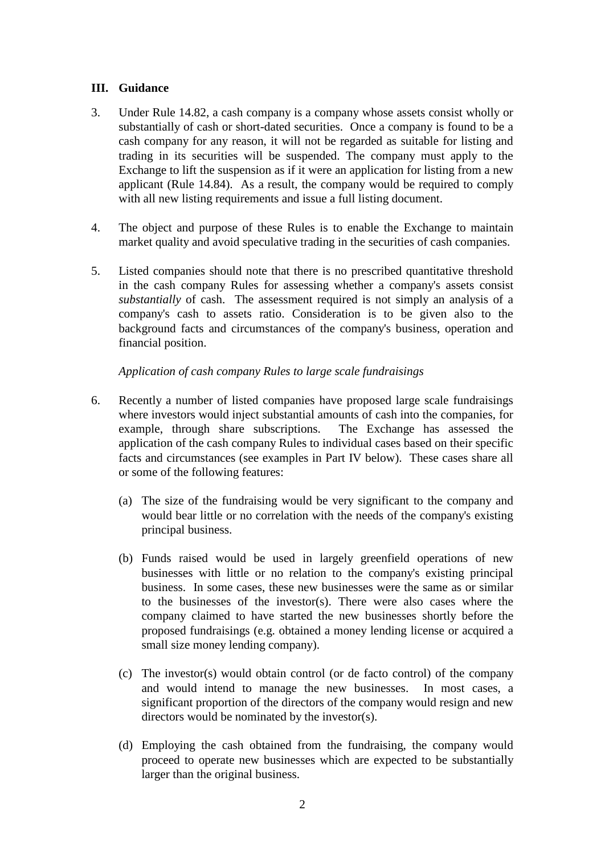## **III. Guidance**

- 3. Under Rule 14.82, a cash company is a company whose assets consist wholly or substantially of cash or short-dated securities. Once a company is found to be a cash company for any reason, it will not be regarded as suitable for listing and trading in its securities will be suspended. The company must apply to the Exchange to lift the suspension as if it were an application for listing from a new applicant (Rule 14.84). As a result, the company would be required to comply with all new listing requirements and issue a full listing document.
- 4. The object and purpose of these Rules is to enable the Exchange to maintain market quality and avoid speculative trading in the securities of cash companies.
- 5. Listed companies should note that there is no prescribed quantitative threshold in the cash company Rules for assessing whether a company's assets consist *substantially* of cash. The assessment required is not simply an analysis of a company's cash to assets ratio. Consideration is to be given also to the background facts and circumstances of the company's business, operation and financial position.

### *Application of cash company Rules to large scale fundraisings*

- 6. Recently a number of listed companies have proposed large scale fundraisings where investors would inject substantial amounts of cash into the companies, for example, through share subscriptions. The Exchange has assessed the application of the cash company Rules to individual cases based on their specific facts and circumstances (see examples in Part IV below). These cases share all or some of the following features:
	- (a) The size of the fundraising would be very significant to the company and would bear little or no correlation with the needs of the company's existing principal business.
	- (b) Funds raised would be used in largely greenfield operations of new businesses with little or no relation to the company's existing principal business. In some cases, these new businesses were the same as or similar to the businesses of the investor(s). There were also cases where the company claimed to have started the new businesses shortly before the proposed fundraisings (e.g. obtained a money lending license or acquired a small size money lending company).
	- (c) The investor(s) would obtain control (or de facto control) of the company and would intend to manage the new businesses. In most cases, a significant proportion of the directors of the company would resign and new directors would be nominated by the investor(s).
	- (d) Employing the cash obtained from the fundraising, the company would proceed to operate new businesses which are expected to be substantially larger than the original business.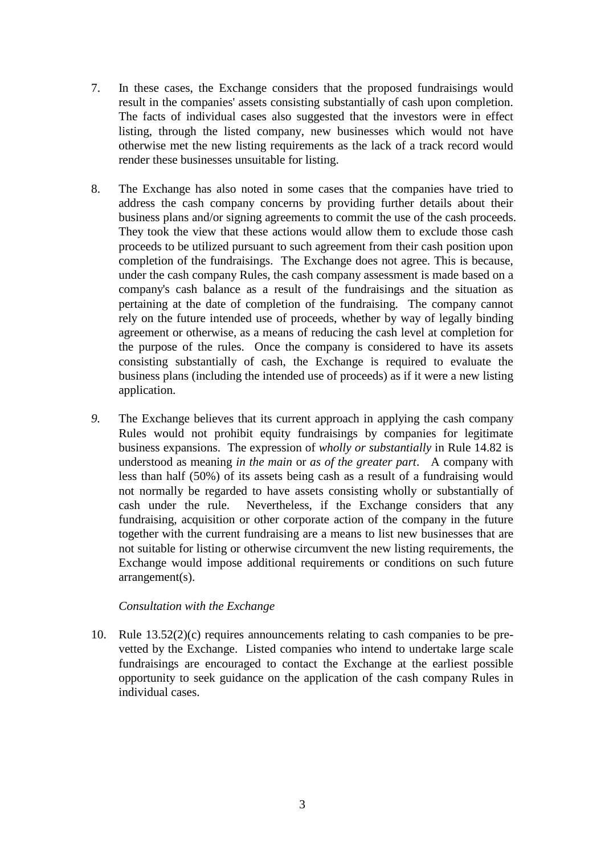- 7. In these cases, the Exchange considers that the proposed fundraisings would result in the companies' assets consisting substantially of cash upon completion. The facts of individual cases also suggested that the investors were in effect listing, through the listed company, new businesses which would not have otherwise met the new listing requirements as the lack of a track record would render these businesses unsuitable for listing.
- 8. The Exchange has also noted in some cases that the companies have tried to address the cash company concerns by providing further details about their business plans and/or signing agreements to commit the use of the cash proceeds. They took the view that these actions would allow them to exclude those cash proceeds to be utilized pursuant to such agreement from their cash position upon completion of the fundraisings. The Exchange does not agree. This is because, under the cash company Rules, the cash company assessment is made based on a company's cash balance as a result of the fundraisings and the situation as pertaining at the date of completion of the fundraising. The company cannot rely on the future intended use of proceeds, whether by way of legally binding agreement or otherwise, as a means of reducing the cash level at completion for the purpose of the rules. Once the company is considered to have its assets consisting substantially of cash, the Exchange is required to evaluate the business plans (including the intended use of proceeds) as if it were a new listing application.
- *9.* The Exchange believes that its current approach in applying the cash company Rules would not prohibit equity fundraisings by companies for legitimate business expansions. The expression of *wholly or substantially* in Rule 14.82 is understood as meaning *in the main* or *as of the greater part*. A company with less than half (50%) of its assets being cash as a result of a fundraising would not normally be regarded to have assets consisting wholly or substantially of cash under the rule. Nevertheless, if the Exchange considers that any fundraising, acquisition or other corporate action of the company in the future together with the current fundraising are a means to list new businesses that are not suitable for listing or otherwise circumvent the new listing requirements, the Exchange would impose additional requirements or conditions on such future arrangement(s).

#### *Consultation with the Exchange*

10. Rule 13.52(2)(c) requires announcements relating to cash companies to be prevetted by the Exchange. Listed companies who intend to undertake large scale fundraisings are encouraged to contact the Exchange at the earliest possible opportunity to seek guidance on the application of the cash company Rules in individual cases.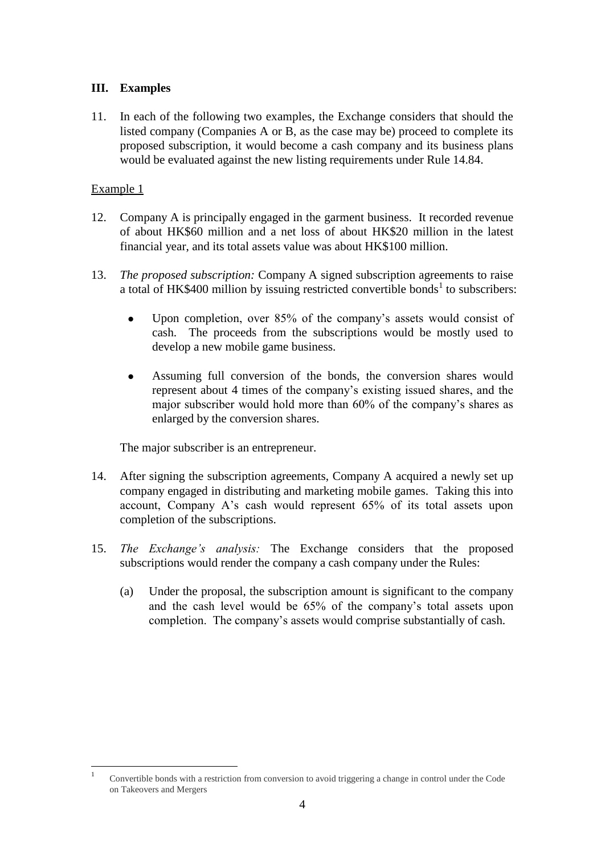## **III. Examples**

11. In each of the following two examples, the Exchange considers that should the listed company (Companies A or B, as the case may be) proceed to complete its proposed subscription, it would become a cash company and its business plans would be evaluated against the new listing requirements under Rule 14.84.

## Example 1

- 12. Company A is principally engaged in the garment business. It recorded revenue of about HK\$60 million and a net loss of about HK\$20 million in the latest financial year, and its total assets value was about HK\$100 million.
- 13. *The proposed subscription:* Company A signed subscription agreements to raise a total of HK\$400 million by issuing restricted convertible bonds<sup>1</sup> to subscribers:
	- Upon completion, over 85% of the company's assets would consist of cash. The proceeds from the subscriptions would be mostly used to develop a new mobile game business.
	- Assuming full conversion of the bonds, the conversion shares would represent about 4 times of the company's existing issued shares, and the major subscriber would hold more than 60% of the company's shares as enlarged by the conversion shares.

The major subscriber is an entrepreneur.

- 14. After signing the subscription agreements, Company A acquired a newly set up company engaged in distributing and marketing mobile games. Taking this into account, Company A's cash would represent 65% of its total assets upon completion of the subscriptions.
- 15. *The Exchange's analysis:* The Exchange considers that the proposed subscriptions would render the company a cash company under the Rules:
	- (a) Under the proposal, the subscription amount is significant to the company and the cash level would be 65% of the company's total assets upon completion. The company's assets would comprise substantially of cash.

 $\frac{1}{1}$ Convertible bonds with a restriction from conversion to avoid triggering a change in control under the Code on Takeovers and Mergers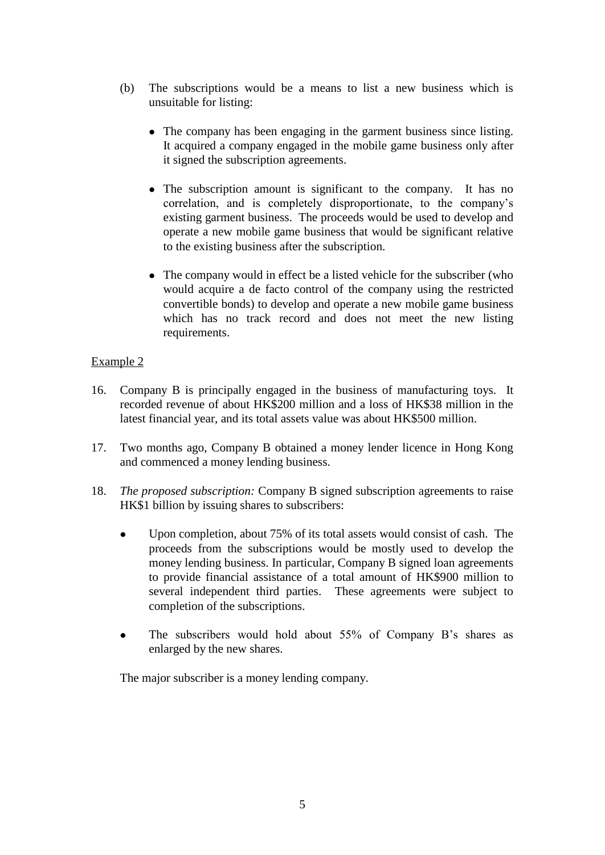- (b) The subscriptions would be a means to list a new business which is unsuitable for listing:
	- The company has been engaging in the garment business since listing. It acquired a company engaged in the mobile game business only after it signed the subscription agreements.
	- The subscription amount is significant to the company. It has no correlation, and is completely disproportionate, to the company's existing garment business. The proceeds would be used to develop and operate a new mobile game business that would be significant relative to the existing business after the subscription.
	- The company would in effect be a listed vehicle for the subscriber (who would acquire a de facto control of the company using the restricted convertible bonds) to develop and operate a new mobile game business which has no track record and does not meet the new listing requirements.

#### Example 2

- 16. Company B is principally engaged in the business of manufacturing toys. It recorded revenue of about HK\$200 million and a loss of HK\$38 million in the latest financial year, and its total assets value was about HK\$500 million.
- 17. Two months ago, Company B obtained a money lender licence in Hong Kong and commenced a money lending business.
- 18. *The proposed subscription:* Company B signed subscription agreements to raise HK\$1 billion by issuing shares to subscribers:
	- Upon completion, about 75% of its total assets would consist of cash. The proceeds from the subscriptions would be mostly used to develop the money lending business. In particular, Company B signed loan agreements to provide financial assistance of a total amount of HK\$900 million to several independent third parties. These agreements were subject to completion of the subscriptions.
	- The subscribers would hold about 55% of Company B's shares as enlarged by the new shares.

The major subscriber is a money lending company.